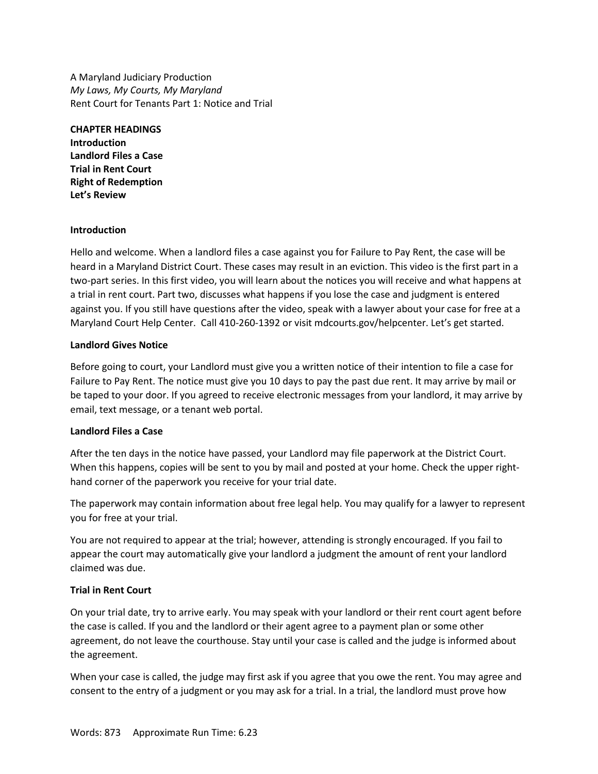A Maryland Judiciary Production *My Laws, My Courts, My Maryland* Rent Court for Tenants Part 1: Notice and Trial

**CHAPTER HEADINGS Introduction Landlord Files a Case Trial in Rent Court Right of Redemption Let's Review**

#### **Introduction**

Hello and welcome. When a landlord files a case against you for Failure to Pay Rent, the case will be heard in a Maryland District Court. These cases may result in an eviction. This video is the first part in a two-part series. In this first video, you will learn about the notices you will receive and what happens at a trial in rent court. Part two, discusses what happens if you lose the case and judgment is entered against you. If you still have questions after the video, speak with a lawyer about your case for free at a Maryland Court Help Center. Call 410-260-1392 or visit mdcourts.gov/helpcenter. Let's get started.

#### **Landlord Gives Notice**

Before going to court, your Landlord must give you a written notice of their intention to file a case for Failure to Pay Rent. The notice must give you 10 days to pay the past due rent. It may arrive by mail or be taped to your door. If you agreed to receive electronic messages from your landlord, it may arrive by email, text message, or a tenant web portal.

## **Landlord Files a Case**

After the ten days in the notice have passed, your Landlord may file paperwork at the District Court. When this happens, copies will be sent to you by mail and posted at your home. Check the upper righthand corner of the paperwork you receive for your trial date.

The paperwork may contain information about free legal help. You may qualify for a lawyer to represent you for free at your trial.

You are not required to appear at the trial; however, attending is strongly encouraged. If you fail to appear the court may automatically give your landlord a judgment the amount of rent your landlord claimed was due.

## **Trial in Rent Court**

On your trial date, try to arrive early. You may speak with your landlord or their rent court agent before the case is called. If you and the landlord or their agent agree to a payment plan or some other agreement, do not leave the courthouse. Stay until your case is called and the judge is informed about the agreement.

When your case is called, the judge may first ask if you agree that you owe the rent. You may agree and consent to the entry of a judgment or you may ask for a trial. In a trial, the landlord must prove how